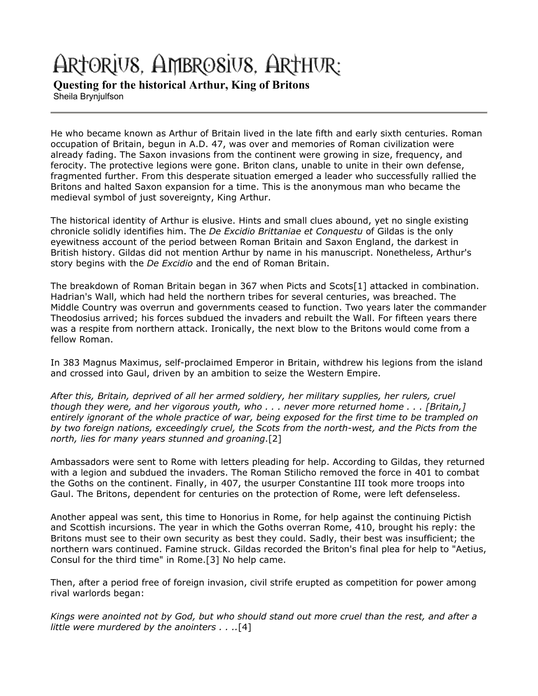# ARTORIUS, AMBROSIUS, ARTHUR:

**Questing for the historical Arthur, King of Britons** Sheila Brynjulfson

He who became known as Arthur of Britain lived in the late fifth and early sixth centuries. Roman occupation of Britain, begun in A.D. 47, was over and memories of Roman civilization were already fading. The Saxon invasions from the continent were growing in size, frequency, and ferocity. The protective legions were gone. Briton clans, unable to unite in their own defense, fragmented further. From this desperate situation emerged a leader who successfully rallied the Britons and halted Saxon expansion for a time. This is the anonymous man who became the medieval symbol of just sovereignty, King Arthur.

The historical identity of Arthur is elusive. Hints and small clues abound, yet no single existing chronicle solidly identifies him. The *De Excidio Brittaniae et Conquestu* of Gildas is the only eyewitness account of the period between Roman Britain and Saxon England, the darkest in British history. Gildas did not mention Arthur by name in his manuscript. Nonetheless, Arthur's story begins with the *De Excidio* and the end of Roman Britain.

The breakdown of Roman Britain began in 367 when Picts and Scots[1] attacked in combination. Hadrian's Wall, which had held the northern tribes for several centuries, was breached. The Middle Country was overrun and governments ceased to function. Two years later the commander Theodosius arrived; his forces subdued the invaders and rebuilt the Wall. For fifteen years there was a respite from northern attack. Ironically, the next blow to the Britons would come from a fellow Roman.

In 383 Magnus Maximus, self-proclaimed Emperor in Britain, withdrew his legions from the island and crossed into Gaul, driven by an ambition to seize the Western Empire.

*After this, Britain, deprived of all her armed soldiery, her military supplies, her rulers, cruel though they were, and her vigorous youth, who . . . never more returned home . . . [Britain,] entirely ignorant of the whole practice of war, being exposed for the first time to be trampled on by two foreign nations, exceedingly cruel, the Scots from the north-west, and the Picts from the north, lies for many years stunned and groaning*.[2]

Ambassadors were sent to Rome with letters pleading for help. According to Gildas, they returned with a legion and subdued the invaders. The Roman Stilicho removed the force in 401 to combat the Goths on the continent. Finally, in 407, the usurper Constantine III took more troops into Gaul. The Britons, dependent for centuries on the protection of Rome, were left defenseless.

Another appeal was sent, this time to Honorius in Rome, for help against the continuing Pictish and Scottish incursions. The year in which the Goths overran Rome, 410, brought his reply: the Britons must see to their own security as best they could. Sadly, their best was insufficient; the northern wars continued. Famine struck. Gildas recorded the Briton's final plea for help to "Aetius, Consul for the third time" in Rome.[3] No help came.

Then, after a period free of foreign invasion, civil strife erupted as competition for power among rival warlords began:

*Kings were anointed not by God, but who should stand out more cruel than the rest, and after a little were murdered by the anointers . . ..*[4]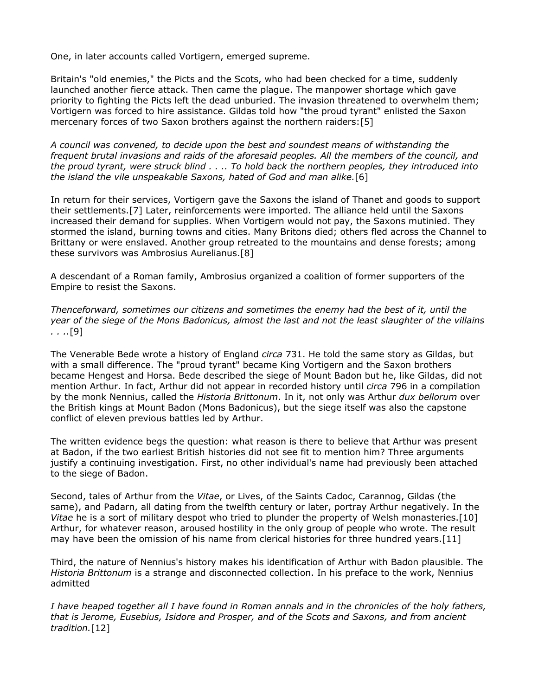One, in later accounts called Vortigern, emerged supreme.

Britain's "old enemies," the Picts and the Scots, who had been checked for a time, suddenly launched another fierce attack. Then came the plague. The manpower shortage which gave priority to fighting the Picts left the dead unburied. The invasion threatened to overwhelm them; Vortigern was forced to hire assistance. Gildas told how "the proud tyrant" enlisted the Saxon mercenary forces of two Saxon brothers against the northern raiders:[5]

*A council was convened, to decide upon the best and soundest means of withstanding the frequent brutal invasions and raids of the aforesaid peoples. All the members of the council, and the proud tyrant, were struck blind . . .. To hold back the northern peoples, they introduced into the island the vile unspeakable Saxons, hated of God and man alike.*[6]

In return for their services, Vortigern gave the Saxons the island of Thanet and goods to support their settlements.[7] Later, reinforcements were imported. The alliance held until the Saxons increased their demand for supplies. When Vortigern would not pay, the Saxons mutinied. They stormed the island, burning towns and cities. Many Britons died; others fled across the Channel to Brittany or were enslaved. Another group retreated to the mountains and dense forests; among these survivors was Ambrosius Aurelianus.[8]

A descendant of a Roman family, Ambrosius organized a coalition of former supporters of the Empire to resist the Saxons.

*Thenceforward, sometimes our citizens and sometimes the enemy had the best of it, until the year of the siege of the Mons Badonicus, almost the last and not the least slaughter of the villains . . ..*[9]

The Venerable Bede wrote a history of England *circa* 731. He told the same story as Gildas, but with a small difference. The "proud tyrant" became King Vortigern and the Saxon brothers became Hengest and Horsa. Bede described the siege of Mount Badon but he, like Gildas, did not mention Arthur. In fact, Arthur did not appear in recorded history until *circa* 796 in a compilation by the monk Nennius, called the *Historia Brittonum*. In it, not only was Arthur *dux bellorum* over the British kings at Mount Badon (Mons Badonicus), but the siege itself was also the capstone conflict of eleven previous battles led by Arthur.

The written evidence begs the question: what reason is there to believe that Arthur was present at Badon, if the two earliest British histories did not see fit to mention him? Three arguments justify a continuing investigation. First, no other individual's name had previously been attached to the siege of Badon.

Second, tales of Arthur from the *Vitae*, or Lives, of the Saints Cadoc, Carannog, Gildas (the same), and Padarn, all dating from the twelfth century or later, portray Arthur negatively. In the *Vitae* he is a sort of military despot who tried to plunder the property of Welsh monasteries.[10] Arthur, for whatever reason, aroused hostility in the only group of people who wrote. The result may have been the omission of his name from clerical histories for three hundred years.[11]

Third, the nature of Nennius's history makes his identification of Arthur with Badon plausible. The *Historia Brittonum* is a strange and disconnected collection. In his preface to the work, Nennius admitted

*I have heaped together all I have found in Roman annals and in the chronicles of the holy fathers, that is Jerome, Eusebius, Isidore and Prosper, and of the Scots and Saxons, and from ancient tradition.*[12]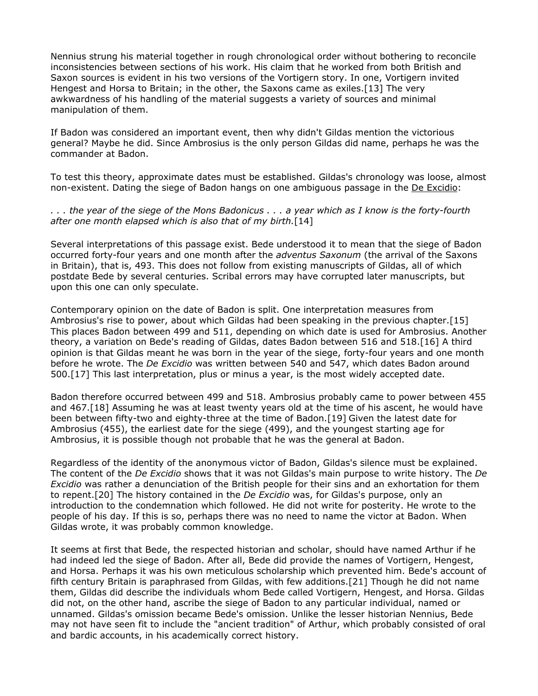Nennius strung his material together in rough chronological order without bothering to reconcile inconsistencies between sections of his work. His claim that he worked from both British and Saxon sources is evident in his two versions of the Vortigern story. In one, Vortigern invited Hengest and Horsa to Britain; in the other, the Saxons came as exiles.[13] The very awkwardness of his handling of the material suggests a variety of sources and minimal manipulation of them.

If Badon was considered an important event, then why didn't Gildas mention the victorious general? Maybe he did. Since Ambrosius is the only person Gildas did name, perhaps he was the commander at Badon.

To test this theory, approximate dates must be established. Gildas's chronology was loose, almost non-existent. Dating the siege of Badon hangs on one ambiguous passage in the De Excidio:

*. . . the year of the siege of the Mons Badonicus . . . a year which as I know is the forty-fourth after one month elapsed which is also that of my birth.*[14]

Several interpretations of this passage exist. Bede understood it to mean that the siege of Badon occurred forty-four years and one month after the *adventus Saxonum* (the arrival of the Saxons in Britain), that is, 493. This does not follow from existing manuscripts of Gildas, all of which postdate Bede by several centuries. Scribal errors may have corrupted later manuscripts, but upon this one can only speculate.

Contemporary opinion on the date of Badon is split. One interpretation measures from Ambrosius's rise to power, about which Gildas had been speaking in the previous chapter.[15] This places Badon between 499 and 511, depending on which date is used for Ambrosius. Another theory, a variation on Bede's reading of Gildas, dates Badon between 516 and 518.[16] A third opinion is that Gildas meant he was born in the year of the siege, forty-four years and one month before he wrote. The *De Excidio* was written between 540 and 547, which dates Badon around 500.[17] This last interpretation, plus or minus a year, is the most widely accepted date.

Badon therefore occurred between 499 and 518. Ambrosius probably came to power between 455 and 467.[18] Assuming he was at least twenty years old at the time of his ascent, he would have been between fifty-two and eighty-three at the time of Badon.[19] Given the latest date for Ambrosius (455), the earliest date for the siege (499), and the youngest starting age for Ambrosius, it is possible though not probable that he was the general at Badon.

Regardless of the identity of the anonymous victor of Badon, Gildas's silence must be explained. The content of the *De Excidio* shows that it was not Gildas's main purpose to write history. The *De Excidio* was rather a denunciation of the British people for their sins and an exhortation for them to repent.[20] The history contained in the *De Excidio* was, for Gildas's purpose, only an introduction to the condemnation which followed. He did not write for posterity. He wrote to the people of his day. If this is so, perhaps there was no need to name the victor at Badon. When Gildas wrote, it was probably common knowledge.

It seems at first that Bede, the respected historian and scholar, should have named Arthur if he had indeed led the siege of Badon. After all, Bede did provide the names of Vortigern, Hengest, and Horsa. Perhaps it was his own meticulous scholarship which prevented him. Bede's account of fifth century Britain is paraphrased from Gildas, with few additions.[21] Though he did not name them, Gildas did describe the individuals whom Bede called Vortigern, Hengest, and Horsa. Gildas did not, on the other hand, ascribe the siege of Badon to any particular individual, named or unnamed. Gildas's omission became Bede's omission. Unlike the lesser historian Nennius, Bede may not have seen fit to include the "ancient tradition" of Arthur, which probably consisted of oral and bardic accounts, in his academically correct history.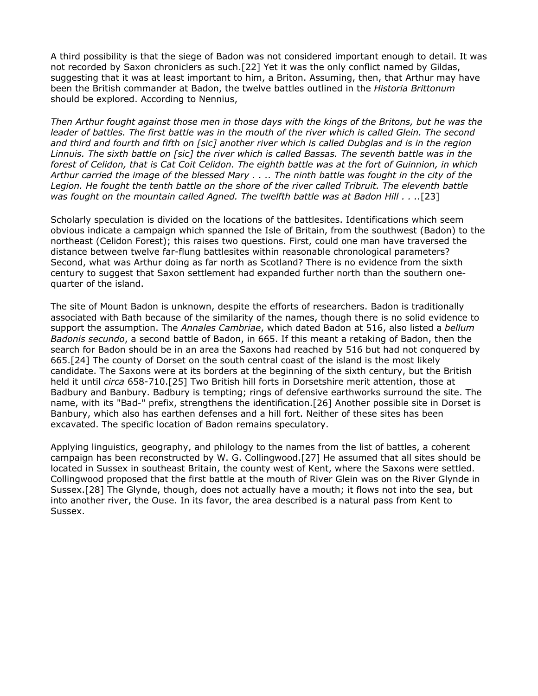A third possibility is that the siege of Badon was not considered important enough to detail. It was not recorded by Saxon chroniclers as such.[22] Yet it was the only conflict named by Gildas, suggesting that it was at least important to him, a Briton. Assuming, then, that Arthur may have been the British commander at Badon, the twelve battles outlined in the *Historia Brittonum* should be explored. According to Nennius,

*Then Arthur fought against those men in those days with the kings of the Britons, but he was the leader of battles. The first battle was in the mouth of the river which is called Glein. The second and third and fourth and fifth on [sic] another river which is called Dubglas and is in the region Linnuis. The sixth battle on [sic] the river which is called Bassas. The seventh battle was in the forest of Celidon, that is Cat Coit Celidon. The eighth battle was at the fort of Guinnion, in which Arthur carried the image of the blessed Mary . . .. The ninth battle was fought in the city of the*  Legion. He fought the tenth battle on the shore of the river called Tribruit. The eleventh battle *was fought on the mountain called Agned. The twelfth battle was at Badon Hill . . ..*[23]

Scholarly speculation is divided on the locations of the battlesites. Identifications which seem obvious indicate a campaign which spanned the Isle of Britain, from the southwest (Badon) to the northeast (Celidon Forest); this raises two questions. First, could one man have traversed the distance between twelve far-flung battlesites within reasonable chronological parameters? Second, what was Arthur doing as far north as Scotland? There is no evidence from the sixth century to suggest that Saxon settlement had expanded further north than the southern onequarter of the island.

The site of Mount Badon is unknown, despite the efforts of researchers. Badon is traditionally associated with Bath because of the similarity of the names, though there is no solid evidence to support the assumption. The *Annales Cambriae*, which dated Badon at 516, also listed a *bellum Badonis secundo*, a second battle of Badon, in 665. If this meant a retaking of Badon, then the search for Badon should be in an area the Saxons had reached by 516 but had not conquered by 665.[24] The county of Dorset on the south central coast of the island is the most likely candidate. The Saxons were at its borders at the beginning of the sixth century, but the British held it until *circa* 658-710.[25] Two British hill forts in Dorsetshire merit attention, those at Badbury and Banbury. Badbury is tempting; rings of defensive earthworks surround the site. The name, with its "Bad-" prefix, strengthens the identification.[26] Another possible site in Dorset is Banbury, which also has earthen defenses and a hill fort. Neither of these sites has been excavated. The specific location of Badon remains speculatory.

Applying linguistics, geography, and philology to the names from the list of battles, a coherent campaign has been reconstructed by W. G. Collingwood.[27] He assumed that all sites should be located in Sussex in southeast Britain, the county west of Kent, where the Saxons were settled. Collingwood proposed that the first battle at the mouth of River Glein was on the River Glynde in Sussex.[28] The Glynde, though, does not actually have a mouth; it flows not into the sea, but into another river, the Ouse. In its favor, the area described is a natural pass from Kent to Sussex.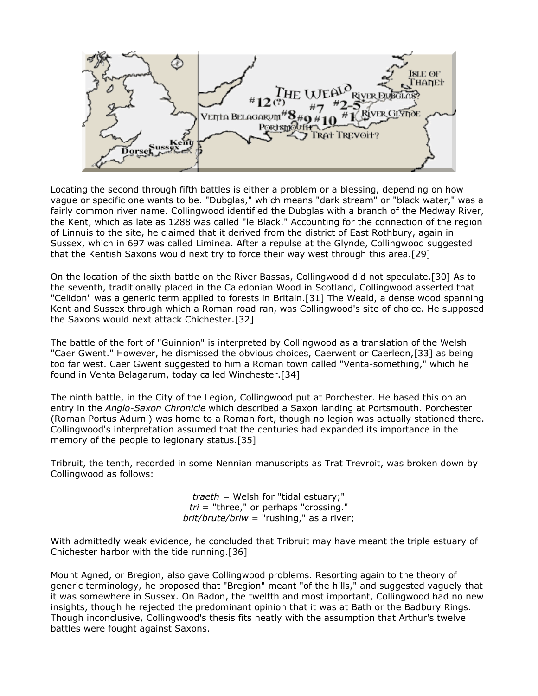

Locating the second through fifth battles is either a problem or a blessing, depending on how vague or specific one wants to be. "Dubglas," which means "dark stream" or "black water," was a fairly common river name. Collingwood identified the Dubglas with a branch of the Medway River, the Kent, which as late as 1288 was called "le Black." Accounting for the connection of the region of Linnuis to the site, he claimed that it derived from the district of East Rothbury, again in Sussex, which in 697 was called Liminea. After a repulse at the Glynde, Collingwood suggested that the Kentish Saxons would next try to force their way west through this area.[29]

On the location of the sixth battle on the River Bassas, Collingwood did not speculate.[30] As to the seventh, traditionally placed in the Caledonian Wood in Scotland, Collingwood asserted that "Celidon" was a generic term applied to forests in Britain.[31] The Weald, a dense wood spanning Kent and Sussex through which a Roman road ran, was Collingwood's site of choice. He supposed the Saxons would next attack Chichester.[32]

The battle of the fort of "Guinnion" is interpreted by Collingwood as a translation of the Welsh "Caer Gwent." However, he dismissed the obvious choices, Caerwent or Caerleon,[33] as being too far west. Caer Gwent suggested to him a Roman town called "Venta-something," which he found in Venta Belagarum, today called Winchester.[34]

The ninth battle, in the City of the Legion, Collingwood put at Porchester. He based this on an entry in the *Anglo-Saxon Chronicle* which described a Saxon landing at Portsmouth. Porchester (Roman Portus Adurni) was home to a Roman fort, though no legion was actually stationed there. Collingwood's interpretation assumed that the centuries had expanded its importance in the memory of the people to legionary status.[35]

Tribruit, the tenth, recorded in some Nennian manuscripts as Trat Trevroit, was broken down by Collingwood as follows:

> *traeth* = Welsh for "tidal estuary;" *tri* = "three," or perhaps "crossing." *brit/brute/briw* = "rushing," as a river;

With admittedly weak evidence, he concluded that Tribruit may have meant the triple estuary of Chichester harbor with the tide running.[36]

Mount Agned, or Bregion, also gave Collingwood problems. Resorting again to the theory of generic terminology, he proposed that "Bregion" meant "of the hills," and suggested vaguely that it was somewhere in Sussex. On Badon, the twelfth and most important, Collingwood had no new insights, though he rejected the predominant opinion that it was at Bath or the Badbury Rings. Though inconclusive, Collingwood's thesis fits neatly with the assumption that Arthur's twelve battles were fought against Saxons.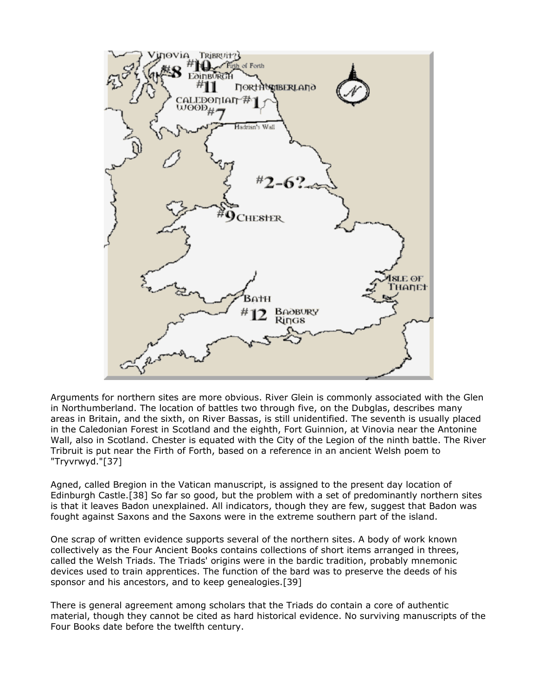

Arguments for northern sites are more obvious. River Glein is commonly associated with the Glen in Northumberland. The location of battles two through five, on the Dubglas, describes many areas in Britain, and the sixth, on River Bassas, is still unidentified. The seventh is usually placed in the Caledonian Forest in Scotland and the eighth, Fort Guinnion, at Vinovia near the Antonine Wall, also in Scotland. Chester is equated with the City of the Legion of the ninth battle. The River Tribruit is put near the Firth of Forth, based on a reference in an ancient Welsh poem to "Tryvrwyd."[37]

Agned, called Bregion in the Vatican manuscript, is assigned to the present day location of Edinburgh Castle.[38] So far so good, but the problem with a set of predominantly northern sites is that it leaves Badon unexplained. All indicators, though they are few, suggest that Badon was fought against Saxons and the Saxons were in the extreme southern part of the island.

One scrap of written evidence supports several of the northern sites. A body of work known collectively as the Four Ancient Books contains collections of short items arranged in threes, called the Welsh Triads. The Triads' origins were in the bardic tradition, probably mnemonic devices used to train apprentices. The function of the bard was to preserve the deeds of his sponsor and his ancestors, and to keep genealogies.[39]

There is general agreement among scholars that the Triads do contain a core of authentic material, though they cannot be cited as hard historical evidence. No surviving manuscripts of the Four Books date before the twelfth century.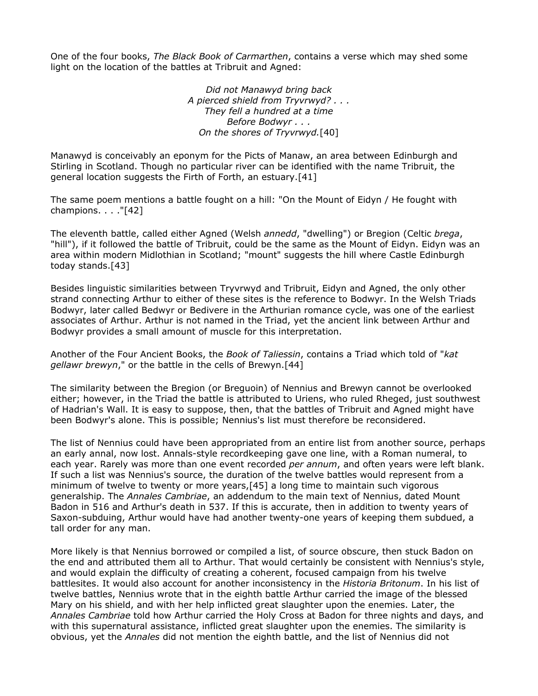One of the four books, *The Black Book of Carmarthen*, contains a verse which may shed some light on the location of the battles at Tribruit and Agned:

> *Did not Manawyd bring back A pierced shield from Tryvrwyd? . . . They fell a hundred at a time Before Bodwyr . . . On the shores of Tryvrwyd.*[40]

Manawyd is conceivably an eponym for the Picts of Manaw, an area between Edinburgh and Stirling in Scotland. Though no particular river can be identified with the name Tribruit, the general location suggests the Firth of Forth, an estuary.[41]

The same poem mentions a battle fought on a hill: "On the Mount of Eidyn / He fought with champions. . . ."[42]

The eleventh battle, called either Agned (Welsh *annedd*, "dwelling") or Bregion (Celtic *brega*, "hill"), if it followed the battle of Tribruit, could be the same as the Mount of Eidyn. Eidyn was an area within modern Midlothian in Scotland; "mount" suggests the hill where Castle Edinburgh today stands.[43]

Besides linguistic similarities between Tryvrwyd and Tribruit, Eidyn and Agned, the only other strand connecting Arthur to either of these sites is the reference to Bodwyr. In the Welsh Triads Bodwyr, later called Bedwyr or Bedivere in the Arthurian romance cycle, was one of the earliest associates of Arthur. Arthur is not named in the Triad, yet the ancient link between Arthur and Bodwyr provides a small amount of muscle for this interpretation.

Another of the Four Ancient Books, the *Book of Taliessin*, contains a Triad which told of "*kat gellawr brewyn*," or the battle in the cells of Brewyn.[44]

The similarity between the Bregion (or Breguoin) of Nennius and Brewyn cannot be overlooked either; however, in the Triad the battle is attributed to Uriens, who ruled Rheged, just southwest of Hadrian's Wall. It is easy to suppose, then, that the battles of Tribruit and Agned might have been Bodwyr's alone. This is possible; Nennius's list must therefore be reconsidered.

The list of Nennius could have been appropriated from an entire list from another source, perhaps an early annal, now lost. Annals-style recordkeeping gave one line, with a Roman numeral, to each year. Rarely was more than one event recorded *per annum*, and often years were left blank. If such a list was Nennius's source, the duration of the twelve battles would represent from a minimum of twelve to twenty or more years,[45] a long time to maintain such vigorous generalship. The *Annales Cambriae*, an addendum to the main text of Nennius, dated Mount Badon in 516 and Arthur's death in 537. If this is accurate, then in addition to twenty years of Saxon-subduing, Arthur would have had another twenty-one years of keeping them subdued, a tall order for any man.

More likely is that Nennius borrowed or compiled a list, of source obscure, then stuck Badon on the end and attributed them all to Arthur. That would certainly be consistent with Nennius's style, and would explain the difficulty of creating a coherent, focused campaign from his twelve battlesites. It would also account for another inconsistency in the *Historia Britonum*. In his list of twelve battles, Nennius wrote that in the eighth battle Arthur carried the image of the blessed Mary on his shield, and with her help inflicted great slaughter upon the enemies. Later, the *Annales Cambriae* told how Arthur carried the Holy Cross at Badon for three nights and days, and with this supernatural assistance, inflicted great slaughter upon the enemies. The similarity is obvious, yet the *Annales* did not mention the eighth battle, and the list of Nennius did not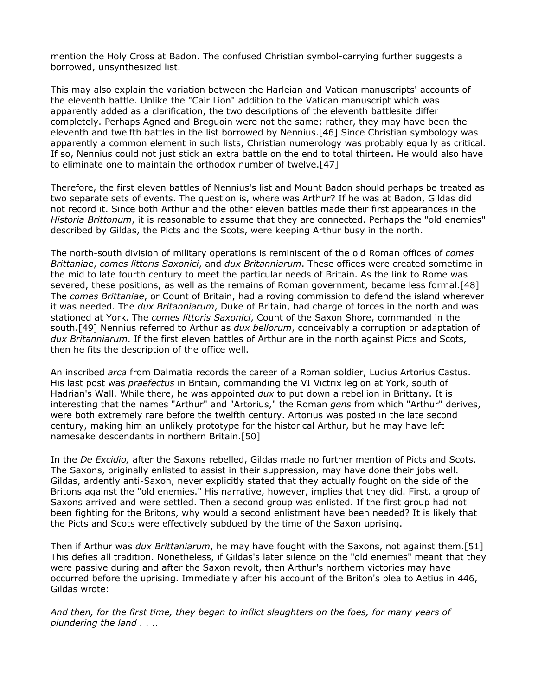mention the Holy Cross at Badon. The confused Christian symbol-carrying further suggests a borrowed, unsynthesized list.

This may also explain the variation between the Harleian and Vatican manuscripts' accounts of the eleventh battle. Unlike the "Cair Lion" addition to the Vatican manuscript which was apparently added as a clarification, the two descriptions of the eleventh battlesite differ completely. Perhaps Agned and Breguoin were not the same; rather, they may have been the eleventh and twelfth battles in the list borrowed by Nennius.[46] Since Christian symbology was apparently a common element in such lists, Christian numerology was probably equally as critical. If so, Nennius could not just stick an extra battle on the end to total thirteen. He would also have to eliminate one to maintain the orthodox number of twelve.[47]

Therefore, the first eleven battles of Nennius's list and Mount Badon should perhaps be treated as two separate sets of events. The question is, where was Arthur? If he was at Badon, Gildas did not record it. Since both Arthur and the other eleven battles made their first appearances in the *Historia Brittonum*, it is reasonable to assume that they are connected. Perhaps the "old enemies" described by Gildas, the Picts and the Scots, were keeping Arthur busy in the north.

The north-south division of military operations is reminiscent of the old Roman offices of *comes Brittaniae*, *comes littoris Saxonici*, and *dux Britanniarum*. These offices were created sometime in the mid to late fourth century to meet the particular needs of Britain. As the link to Rome was severed, these positions, as well as the remains of Roman government, became less formal.[48] The *comes Brittaniae*, or Count of Britain, had a roving commission to defend the island wherever it was needed. The *dux Britanniarum*, Duke of Britain, had charge of forces in the north and was stationed at York. The *comes littoris Saxonici*, Count of the Saxon Shore, commanded in the south.[49] Nennius referred to Arthur as *dux bellorum*, conceivably a corruption or adaptation of *dux Britanniarum*. If the first eleven battles of Arthur are in the north against Picts and Scots, then he fits the description of the office well.

An inscribed *arca* from Dalmatia records the career of a Roman soldier, Lucius Artorius Castus. His last post was *praefectus* in Britain, commanding the VI Victrix legion at York, south of Hadrian's Wall. While there, he was appointed *dux* to put down a rebellion in Brittany. It is interesting that the names "Arthur" and "Artorius," the Roman *gens* from which "Arthur" derives, were both extremely rare before the twelfth century. Artorius was posted in the late second century, making him an unlikely prototype for the historical Arthur, but he may have left namesake descendants in northern Britain.[50]

In the *De Excidio,* after the Saxons rebelled, Gildas made no further mention of Picts and Scots. The Saxons, originally enlisted to assist in their suppression, may have done their jobs well. Gildas, ardently anti-Saxon, never explicitly stated that they actually fought on the side of the Britons against the "old enemies." His narrative, however, implies that they did. First, a group of Saxons arrived and were settled. Then a second group was enlisted. If the first group had not been fighting for the Britons, why would a second enlistment have been needed? It is likely that the Picts and Scots were effectively subdued by the time of the Saxon uprising.

Then if Arthur was *dux Brittaniarum*, he may have fought with the Saxons, not against them.[51] This defies all tradition. Nonetheless, if Gildas's later silence on the "old enemies" meant that they were passive during and after the Saxon revolt, then Arthur's northern victories may have occurred before the uprising. Immediately after his account of the Briton's plea to Aetius in 446, Gildas wrote:

*And then, for the first time, they began to inflict slaughters on the foes, for many years of plundering the land . . ..*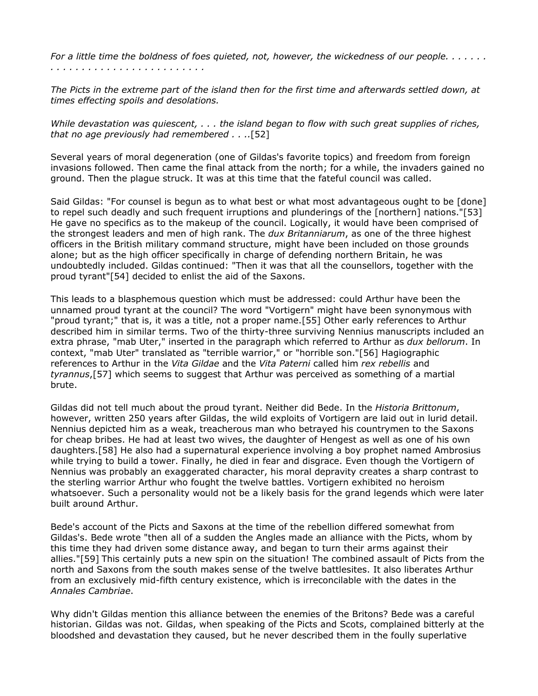*For a little time the boldness of foes quieted, not, however, the wickedness of our people. . . . . . . . . . . . . . . . . . . . . . . . . . . . . . . .* 

*The Picts in the extreme part of the island then for the first time and afterwards settled down, at times effecting spoils and desolations.* 

*While devastation was quiescent, . . . the island began to flow with such great supplies of riches, that no age previously had remembered . . ..*[52]

Several years of moral degeneration (one of Gildas's favorite topics) and freedom from foreign invasions followed. Then came the final attack from the north; for a while, the invaders gained no ground. Then the plague struck. It was at this time that the fateful council was called.

Said Gildas: "For counsel is begun as to what best or what most advantageous ought to be [done] to repel such deadly and such frequent irruptions and plunderings of the [northern] nations."[53] He gave no specifics as to the makeup of the council. Logically, it would have been comprised of the strongest leaders and men of high rank. The *dux Britanniarum*, as one of the three highest officers in the British military command structure, might have been included on those grounds alone; but as the high officer specifically in charge of defending northern Britain, he was undoubtedly included. Gildas continued: "Then it was that all the counsellors, together with the proud tyrant"[54] decided to enlist the aid of the Saxons.

This leads to a blasphemous question which must be addressed: could Arthur have been the unnamed proud tyrant at the council? The word "Vortigern" might have been synonymous with "proud tyrant;" that is, it was a title, not a proper name.[55] Other early references to Arthur described him in similar terms. Two of the thirty-three surviving Nennius manuscripts included an extra phrase, "mab Uter," inserted in the paragraph which referred to Arthur as *dux bellorum*. In context, "mab Uter" translated as "terrible warrior," or "horrible son."[56] Hagiographic references to Arthur in the *Vita Gildae* and the *Vita Paterni* called him *rex rebellis* and *tyrannus*,[57] which seems to suggest that Arthur was perceived as something of a martial brute.

Gildas did not tell much about the proud tyrant. Neither did Bede. In the *Historia Brittonum*, however, written 250 years after Gildas, the wild exploits of Vortigern are laid out in lurid detail. Nennius depicted him as a weak, treacherous man who betrayed his countrymen to the Saxons for cheap bribes. He had at least two wives, the daughter of Hengest as well as one of his own daughters.[58] He also had a supernatural experience involving a boy prophet named Ambrosius while trying to build a tower. Finally, he died in fear and disgrace. Even though the Vortigern of Nennius was probably an exaggerated character, his moral depravity creates a sharp contrast to the sterling warrior Arthur who fought the twelve battles. Vortigern exhibited no heroism whatsoever. Such a personality would not be a likely basis for the grand legends which were later built around Arthur.

Bede's account of the Picts and Saxons at the time of the rebellion differed somewhat from Gildas's. Bede wrote "then all of a sudden the Angles made an alliance with the Picts, whom by this time they had driven some distance away, and began to turn their arms against their allies."[59] This certainly puts a new spin on the situation! The combined assault of Picts from the north and Saxons from the south makes sense of the twelve battlesites. It also liberates Arthur from an exclusively mid-fifth century existence, which is irreconcilable with the dates in the *Annales Cambriae*.

Why didn't Gildas mention this alliance between the enemies of the Britons? Bede was a careful historian. Gildas was not. Gildas, when speaking of the Picts and Scots, complained bitterly at the bloodshed and devastation they caused, but he never described them in the foully superlative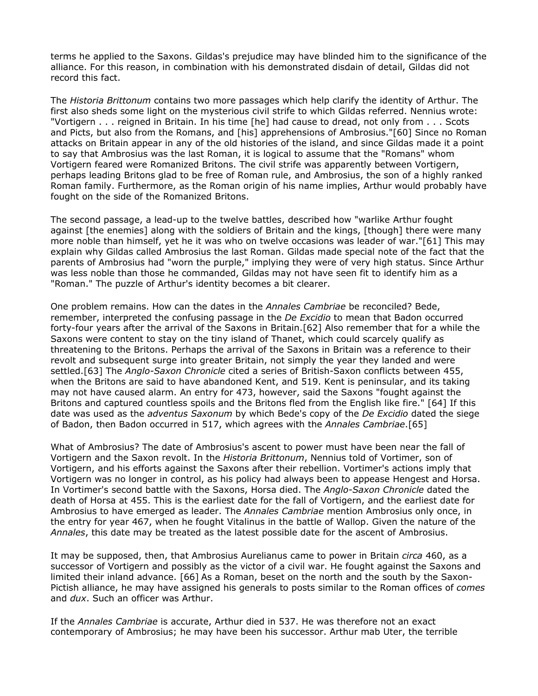terms he applied to the Saxons. Gildas's prejudice may have blinded him to the significance of the alliance. For this reason, in combination with his demonstrated disdain of detail, Gildas did not record this fact.

The *Historia Brittonum* contains two more passages which help clarify the identity of Arthur. The first also sheds some light on the mysterious civil strife to which Gildas referred. Nennius wrote: "Vortigern . . . reigned in Britain. In his time [he] had cause to dread, not only from . . . Scots and Picts, but also from the Romans, and [his] apprehensions of Ambrosius."[60] Since no Roman attacks on Britain appear in any of the old histories of the island, and since Gildas made it a point to say that Ambrosius was the last Roman, it is logical to assume that the "Romans" whom Vortigern feared were Romanized Britons. The civil strife was apparently between Vortigern, perhaps leading Britons glad to be free of Roman rule, and Ambrosius, the son of a highly ranked Roman family. Furthermore, as the Roman origin of his name implies, Arthur would probably have fought on the side of the Romanized Britons.

The second passage, a lead-up to the twelve battles, described how "warlike Arthur fought against [the enemies] along with the soldiers of Britain and the kings, [though] there were many more noble than himself, yet he it was who on twelve occasions was leader of war."[61] This may explain why Gildas called Ambrosius the last Roman. Gildas made special note of the fact that the parents of Ambrosius had "worn the purple," implying they were of very high status. Since Arthur was less noble than those he commanded, Gildas may not have seen fit to identify him as a "Roman." The puzzle of Arthur's identity becomes a bit clearer.

One problem remains. How can the dates in the *Annales Cambriae* be reconciled? Bede, remember, interpreted the confusing passage in the *De Excidio* to mean that Badon occurred forty-four years after the arrival of the Saxons in Britain.[62] Also remember that for a while the Saxons were content to stay on the tiny island of Thanet, which could scarcely qualify as threatening to the Britons. Perhaps the arrival of the Saxons in Britain was a reference to their revolt and subsequent surge into greater Britain, not simply the year they landed and were settled.[63] The *Anglo-Saxon Chronicle* cited a series of British-Saxon conflicts between 455, when the Britons are said to have abandoned Kent, and 519. Kent is peninsular, and its taking may not have caused alarm. An entry for 473, however, said the Saxons "fought against the Britons and captured countless spoils and the Britons fled from the English like fire." [64] If this date was used as the *adventus Saxonum* by which Bede's copy of the *De Excidio* dated the siege of Badon, then Badon occurred in 517, which agrees with the *Annales Cambriae*.[65]

What of Ambrosius? The date of Ambrosius's ascent to power must have been near the fall of Vortigern and the Saxon revolt. In the *Historia Brittonum*, Nennius told of Vortimer, son of Vortigern, and his efforts against the Saxons after their rebellion. Vortimer's actions imply that Vortigern was no longer in control, as his policy had always been to appease Hengest and Horsa. In Vortimer's second battle with the Saxons, Horsa died. The *Anglo-Saxon Chronicle* dated the death of Horsa at 455. This is the earliest date for the fall of Vortigern, and the earliest date for Ambrosius to have emerged as leader. The *Annales Cambriae* mention Ambrosius only once, in the entry for year 467, when he fought Vitalinus in the battle of Wallop. Given the nature of the *Annales*, this date may be treated as the latest possible date for the ascent of Ambrosius.

It may be supposed, then, that Ambrosius Aurelianus came to power in Britain *circa* 460, as a successor of Vortigern and possibly as the victor of a civil war. He fought against the Saxons and limited their inland advance. [66] As a Roman, beset on the north and the south by the Saxon-Pictish alliance, he may have assigned his generals to posts similar to the Roman offices of *comes* and *dux*. Such an officer was Arthur.

If the *Annales Cambriae* is accurate, Arthur died in 537. He was therefore not an exact contemporary of Ambrosius; he may have been his successor. Arthur mab Uter, the terrible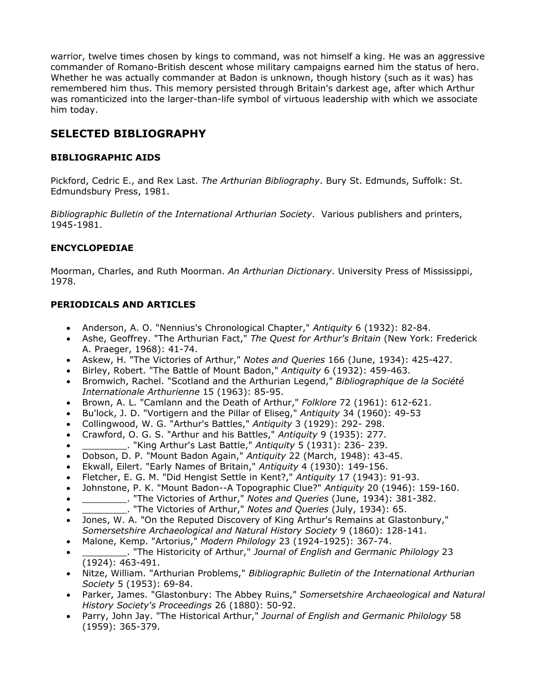warrior, twelve times chosen by kings to command, was not himself a king. He was an aggressive commander of Romano-British descent whose military campaigns earned him the status of hero. Whether he was actually commander at Badon is unknown, though history (such as it was) has remembered him thus. This memory persisted through Britain's darkest age, after which Arthur was romanticized into the larger-than-life symbol of virtuous leadership with which we associate him today.

## **SELECTED BIBLIOGRAPHY**

#### **BIBLIOGRAPHIC AIDS**

Pickford, Cedric E., and Rex Last. *The Arthurian Bibliography*. Bury St. Edmunds, Suffolk: St. Edmundsbury Press, 1981.

*Bibliographic Bulletin of the International Arthurian Society*. Various publishers and printers, 1945-1981.

#### **ENCYCLOPEDIAE**

Moorman, Charles, and Ruth Moorman. *An Arthurian Dictionary*. University Press of Mississippi, 1978.

#### **PERIODICALS AND ARTICLES**

- Anderson, A. O. "Nennius's Chronological Chapter," *Antiquity* 6 (1932): 82-84.
- Ashe, Geoffrey. "The Arthurian Fact," *The Quest for Arthur's Britain* (New York: Frederick A. Praeger, 1968): 41-74.
- Askew, H. "The Victories of Arthur," *Notes and Queries* 166 (June, 1934): 425-427.
- Birley, Robert. "The Battle of Mount Badon," *Antiquity* 6 (1932): 459-463.
- Bromwich, Rachel. "Scotland and the Arthurian Legend," *Bibliographique de la Société Internationale Arthurienne* 15 (1963): 85-95.
- Brown, A. L. "Camlann and the Death of Arthur," *Folklore* 72 (1961): 612-621.
- Bu'lock, J. D. "Vortigern and the Pillar of Eliseg," *Antiquity* 34 (1960): 49-53
- Collingwood, W. G. "Arthur's Battles," *Antiquity* 3 (1929): 292- 298.
- Crawford, O. G. S. "Arthur and his Battles," *Antiquity* 9 (1935): 277.
- \_\_\_\_\_\_\_\_. "King Arthur's Last Battle," *Antiquity* 5 (1931): 236- 239.
- Dobson, D. P. "Mount Badon Again," *Antiquity* 22 (March, 1948): 43-45.
- Ekwall, Eilert. "Early Names of Britain," *Antiquity* 4 (1930): 149-156.
- Fletcher, E. G. M. "Did Hengist Settle in Kent?," *Antiquity* 17 (1943): 91-93.
- Johnstone, P. K. "Mount Badon--A Topographic Clue?" *Antiquity* 20 (1946): 159-160.
- \_\_\_\_\_\_\_\_. "The Victories of Arthur," *Notes and Queries* (June, 1934): 381-382.
- \_\_\_\_\_\_\_\_. "The Victories of Arthur," *Notes and Queries* (July, 1934): 65.
- Jones, W. A. "On the Reputed Discovery of King Arthur's Remains at Glastonbury," *Somersetshire Archaeological and Natural History Society* 9 (1860): 128-141.
- Malone, Kemp. "Artorius," *Modern Philology* 23 (1924-1925): 367-74.
- \_\_\_\_\_\_\_\_. "The Historicity of Arthur," *Journal of English and Germanic Philology* 23 (1924): 463-491.
- Nitze, William. "Arthurian Problems," *Bibliographic Bulletin of the International Arthurian Society* 5 (1953): 69-84.
- Parker, James. "Glastonbury: The Abbey Ruins," *Somersetshire Archaeological and Natural History Society's Proceedings* 26 (1880): 50-92.
- Parry, John Jay. "The Historical Arthur," *Journal of English and Germanic Philology* 58 (1959): 365-379.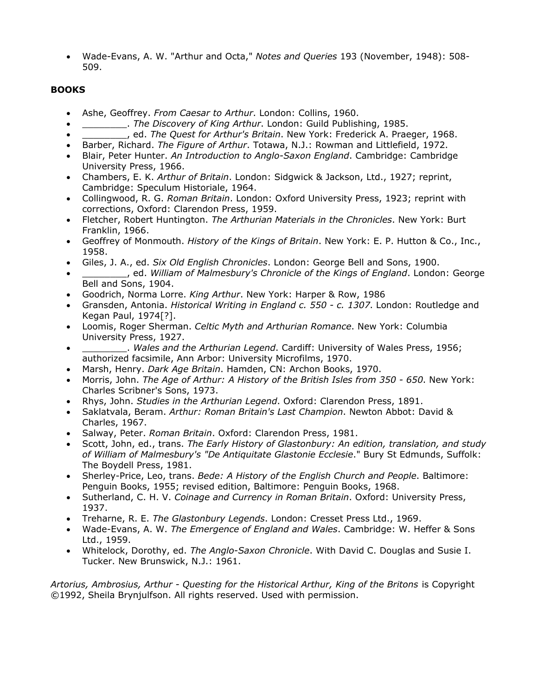• Wade-Evans, A. W. "Arthur and Octa," *Notes and Queries* 193 (November, 1948): 508- 509.

#### **BOOKS**

- Ashe, Geoffrey. *From Caesar to Arthur*. London: Collins, 1960.
- \_\_\_\_\_\_\_\_. *The Discovery of King Arthur*. London: Guild Publishing, 1985.
- \_\_\_\_\_\_\_\_, ed. *The Quest for Arthur's Britain*. New York: Frederick A. Praeger, 1968.
- Barber, Richard. *The Figure of Arthur*. Totawa, N.J.: Rowman and Littlefield, 1972.
- Blair, Peter Hunter. *An Introduction to Anglo-Saxon England*. Cambridge: Cambridge University Press, 1966.
- Chambers, E. K. *Arthur of Britain*. London: Sidgwick & Jackson, Ltd., 1927; reprint, Cambridge: Speculum Historiale, 1964.
- Collingwood, R. G. *Roman Britain*. London: Oxford University Press, 1923; reprint with corrections, Oxford: Clarendon Press, 1959.
- Fletcher, Robert Huntington. *The Arthurian Materials in the Chronicles*. New York: Burt Franklin, 1966.
- Geoffrey of Monmouth. *History of the Kings of Britain*. New York: E. P. Hutton & Co., Inc., 1958.
- Giles, J. A., ed. *Six Old English Chronicles*. London: George Bell and Sons, 1900.
- \_\_\_\_\_\_\_\_, ed. *William of Malmesbury's Chronicle of the Kings of England*. London: George Bell and Sons, 1904.
- Goodrich, Norma Lorre. *King Arthur*. New York: Harper & Row, 1986
- Gransden, Antonia. *Historical Writing in England c. 550 c. 1307*. London: Routledge and Kegan Paul, 1974[?].
- Loomis, Roger Sherman. *Celtic Myth and Arthurian Romance*. New York: Columbia University Press, 1927.
- \_\_\_\_\_\_\_\_. *Wales and the Arthurian Legend*. Cardiff: University of Wales Press, 1956; authorized facsimile, Ann Arbor: University Microfilms, 1970.
- Marsh, Henry. *Dark Age Britain*. Hamden, CN: Archon Books, 1970.
- Morris, John. *The Age of Arthur: A History of the British Isles from 350 650*. New York: Charles Scribner's Sons, 1973.
- Rhys, John. *Studies in the Arthurian Legend*. Oxford: Clarendon Press, 1891.
- Saklatvala, Beram. *Arthur: Roman Britain's Last Champion*. Newton Abbot: David & Charles, 1967.
- Salway, Peter. *Roman Britain*. Oxford: Clarendon Press, 1981.
- Scott, John, ed., trans. *The Early History of Glastonbury: An edition, translation, and study of William of Malmesbury's "De Antiquitate Glastonie Ecclesie*." Bury St Edmunds, Suffolk: The Boydell Press, 1981.
- Sherley-Price, Leo, trans. *Bede: A History of the English Church and People*. Baltimore: Penguin Books, 1955; revised edition, Baltimore: Penguin Books, 1968.
- Sutherland, C. H. V. *Coinage and Currency in Roman Britain*. Oxford: University Press, 1937.
- Treharne, R. E. *The Glastonbury Legends*. London: Cresset Press Ltd., 1969.
- Wade-Evans, A. W. *The Emergence of England and Wales*. Cambridge: W. Heffer & Sons Ltd., 1959.
- Whitelock, Dorothy, ed. *The Anglo-Saxon Chronicle*. With David C. Douglas and Susie I. Tucker. New Brunswick, N.J.: 1961.

*Artorius, Ambrosius, Arthur - Questing for the Historical Arthur, King of the Britons* is Copyright ©1992, Sheila Brynjulfson. All rights reserved. Used with permission.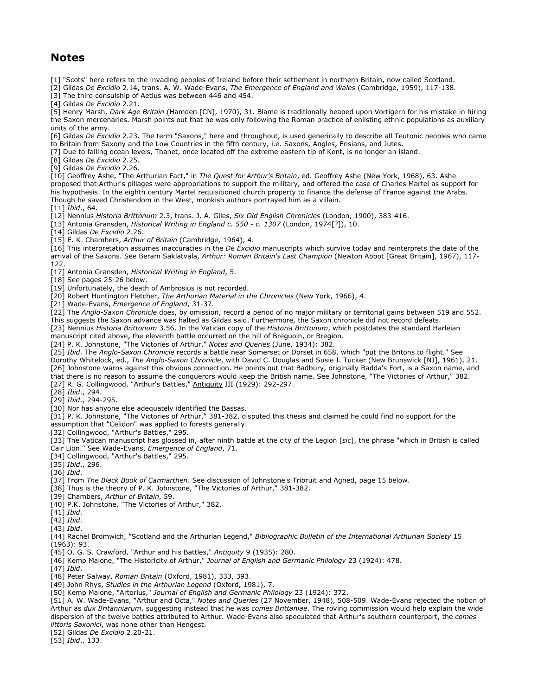### **Notes**

[1] "Scots" here refers to the invading peoples of Ireland before their settlement in northern Britain, now called Scotland.

[2] Gildas *De Excidio* 2.14, trans. A. W. Wade-Evans, *The Emergence of England and Wales* (Cambridge, 1959), 117-138.

[3] The third consulship of Aetius was between 446 and 454.

[4] Gildas *De Excidio* 2.21.

[5] Henry Marsh, *Dark Age Britain* (Hamden [CN], 1970), 31. Blame is traditionally heaped upon Vortigern for his mistake in hiring the Saxon mercenaries. Marsh points out that he was only following the Roman practice of enlisting ethnic populations as auxiliary units of the army.

[6] Gildas *De Excidio* 2.23. The term "Saxons," here and throughout, is used generically to describe all Teutonic peoples who came to Britain from Saxony and the Low Countries in the fifth century, i.e. Saxons, Angles, Frisians, and Jutes.

[7] Due to falling ocean levels, Thanet, once located off the extreme eastern tip of Kent, is no longer an island.

[8] Gildas *De Excidio* 2.25.

[9] Gildas *De Excidio* 2.26.

[10] Geoffrey Ashe, "The Arthurian Fact," in *The Quest for Arthur's Britain*, ed. Geoffrey Ashe (New York, 1968), 63. Ashe proposed that Arthur's pillages were appropriations to support the military, and offered the case of Charles Martel as support for his hypothesis. In the eighth century Martel requisitioned church property to finance the defense of France against the Arabs. Though he saved Christendom in the West, monkish authors portrayed him as a villain.

[11] *Ibid*., 64.

[12] Nennius *Historia Brittonum* 2.3, trans. J. A. Giles, *Six Old English Chronicles* (London, 1900), 383-416.

[13] Antonia Gransden, *Historical Writing in England c. 550 - c. 1307* (London, 1974[?]), 10.

[14] Gildas *De Excidio* 2.26.

[15] E. K. Chambers, *Arthur of Britain* (Cambridge, 1964), 4.

[16] This interpretation assumes inaccuracies in the *De Excidio* manuscripts which survive today and reinterprets the date of the arrival of the Saxons. See Beram Saklatvala, *Arthur: Roman Britain's Last Champion* (Newton Abbot [Great Britain], 1967), 117- 122.

[17] Antonia Gransden, *Historical Writing in England*, 5.

[18] See pages 25-26 below.

[19] Unfortunately, the death of Ambrosius is not recorded.

[20] Robert Huntington Fletcher, *The Arthurian Material in the Chronicles* (New York, 1966), 4.

[21] Wade-Evans, *Emergence of England*, 31-37.

[22] The *Anglo-Saxon Chronicle* does, by omission, record a period of no major military or territorial gains between 519 and 552. This suggests the Saxon advance was halted as Gildas said. Furthermore, the Saxon chronicle did not record defeats.

[23] Nennius *Historia Brittonum* 3.56. In the Vatican copy of the *Historia Brittonum*, which postdates the standard Harleian manuscript cited above, the eleventh battle occurred on the hill of Breguoin, or Bregion.

[24] P. K. Johnstone, "The Victories of Arthur," *Notes and Queries* (June, 1934): 382.

[25] *Ibid*. The *Anglo-Saxon Chronicle* records a battle near Somerset or Dorset in 658, which "put the Britons to flight." See Dorothy Whitelock, ed., *The Anglo-Saxon Chronicle*, with David C. Douglas and Susie I. Tucker (New Brunswick [NJ], 1961), 21. [26] Johnstone warns against this obvious connection. He points out that Badbury, originally Badda's Fort, is a Saxon name, and that there is no reason to assume the conquerors would keep the British name. See Johnstone, "The Victories of Arthur," 382.

[27] R. G. Collingwood, "Arthur's Battles," Antiquity III (1929): 292-297.

[28] *Ibid*., 294.

[29] *Ibid*., 294-295.

[30] Nor has anyone else adequately identified the Bassas.

[31] P. K. Johnstone, "The Victories of Arthur," 381-382, disputed this thesis and claimed he could find no support for the

assumption that "Celidon" was applied to forests generally.

[32] Collingwood, "Arthur's Battles," 295.

[33] The Vatican manuscript has glossed in, after ninth battle at the city of the Legion [*sic*], the phrase "which in British is called Cair Lion." See Wade-Evans, *Emergence of England*, 71.

[34] Collingwood, "Arthur's Battles," 295.

[35] *Ibid*., 296.

[36] *Ibid*.

[37] From *The Black Book of Carmarthen*. See discussion of Johnstone's Tribruit and Agned, page 15 below.

[38] Thus is the theory of P. K. Johnstone, "The Victories of Arthur," 381-382.

- [39] Chambers, *Arthur of Britain*, 59.
- [40] P.K. Johnstone, "The Victories of Arthur," 382.

[41] *Ibid*.

[42] *Ibid*.

[43] *Ibid*.

[44] Rachel Bromwich, "Scotland and the Arthurian Legend," *Bibliographic Bulletin of the International Arthurian Society* 15 (1963): 93.

[45] O. G. S. Crawford, "Arthur and his Battles," *Antiquity* 9 (1935): 280.

[46] Kemp Malone, "The Historicity of Arthur," *Journal of English and Germanic Philology* 23 (1924): 478.

[47] *Ibid*.

[48] Peter Salway, *Roman Britain* (Oxford, 1981), 333, 393.

[49] John Rhys, *Studies in the Arthurian Legend* (Oxford, 1981), 7.

[50] Kemp Malone, "Artorius," *Journal of English and Germanic Philology* 23 (1924): 372.

[51] A. W. Wade-Evans, "Arthur and Octa," *Notes and Queries* (27 November, 1948), 508-509. Wade-Evans rejected the notion of Arthur as *dux Britanniarum*, suggesting instead that he was *comes Brittaniae*. The roving commission would help explain the wide dispersion of the twelve battles attributed to Arthur. Wade-Evans also speculated that Arthur's southern counterpart, the *comes littoris Saxonici*, was none other than Hengest.

[52] Gildas *De Excidio* 2.20-21.

[53] *Ibid*., 133.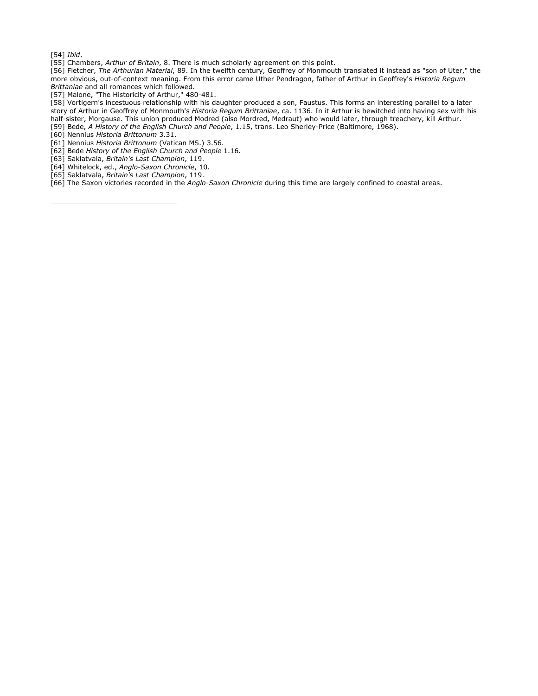[54] *Ibid*.

ł

[55] Chambers, *Arthur of Britain*, 8. There is much scholarly agreement on this point.

[56] Fletcher, *The Arthurian Material*, 89. In the twelfth century, Geoffrey of Monmouth translated it instead as "son of Uter," the more obvious, out-of-context meaning. From this error came Uther Pendragon, father of Arthur in Geoffrey's *Historia Regum Brittaniae* and all romances which followed.

[57] Malone, "The Historicity of Arthur," 480-481.

[58] Vortigern's incestuous relationship with his daughter produced a son, Faustus. This forms an interesting parallel to a later story of Arthur in Geoffrey of Monmouth's *Historia Regum Brittaniae*, ca. 1136. In it Arthur is bewitched into having sex with his half-sister, Morgause. This union produced Modred (also Mordred, Medraut) who would later, through treachery, kill Arthur. [59] Bede, *A History of the English Church and People*, 1.15, trans. Leo Sherley-Price (Baltimore, 1968).

- [60] Nennius *Historia Brittonum* 3.31.
- [61] Nennius *Historia Brittonum* (Vatican MS.) 3.56.
- [62] Bede *History of the English Church and People* 1.16.
- [63] Saklatvala, *Britain's Last Champion*, 119.
- [64] Whitelock, ed., *Anglo-Saxon Chronicle*, 10.
- [65] Saklatvala, *Britain's Last Champion*, 119.

[66] The Saxon victories recorded in the *Anglo-Saxon Chronicle* during this time are largely confined to coastal areas.